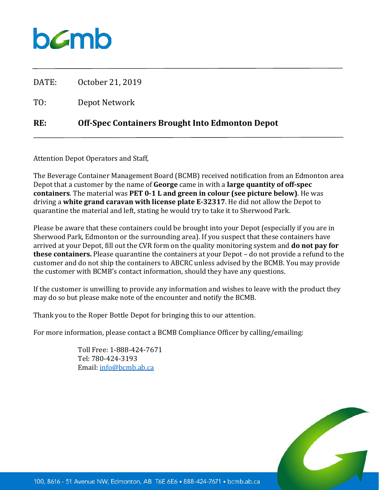## bamb

| RE:   | <b>Off-Spec Containers Brought Into Edmonton Depot</b> |
|-------|--------------------------------------------------------|
| TO:   | Depot Network                                          |
| DATE: | October 21, 2019                                       |

Attention Depot Operators and Staff,

The Beverage Container Management Board (BCMB) received notification from an Edmonton area Depot that a customer by the name of **George** came in with a **large quantity of off-spec containers**. The material was **PET 0-1 L and green in colour (see picture below)**. He was driving a **white grand caravan with license plate E-32317**. He did not allow the Depot to quarantine the material and left, stating he would try to take it to Sherwood Park.

Please be aware that these containers could be brought into your Depot (especially if you are in Sherwood Park, Edmonton or the surrounding area). If you suspect that these containers have arrived at your Depot, fill out the CVR form on the quality monitoring system and **do not pay for these containers.** Please quarantine the containers at your Depot – do not provide a refund to the customer and do not ship the containers to ABCRC unless advised by the BCMB. You may provide the customer with BCMB's contact information, should they have any questions.

If the customer is unwilling to provide any information and wishes to leave with the product they may do so but please make note of the encounter and notify the BCMB.

Thank you to the Roper Bottle Depot for bringing this to our attention.

For more information, please contact a BCMB Compliance Officer by calling/emailing:

Toll Free: 1-888-424-7671 Tel: 780-424-3193 Email: [info@bcmb.ab.ca](mailto:info@bcmb.ab.ca)